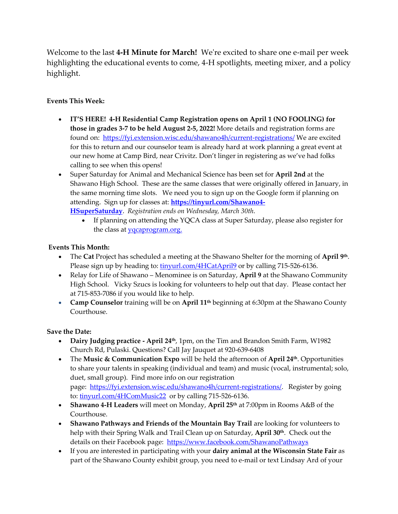Welcome to the last **4-H Minute for March!** We're excited to share one e-mail per week highlighting the educational events to come, 4-H spotlights, meeting mixer, and a policy highlight.

## **Events This Week:**

- **IT'S HERE! 4-H Residential Camp Registration opens on April 1 (NO FOOLING) for those in grades 3-7 to be held August 2-5, 2022!** More details and registration forms are found on: <https://fyi.extension.wisc.edu/shawano4h/current-registrations/> We are excited for this to return and our counselor team is already hard at work planning a great event at our new home at Camp Bird, near Crivitz. Don't linger in registering as we've had folks calling to see when this opens!
- Super Saturday for Animal and Mechanical Science has been set for **April 2nd** at the Shawano High School. These are the same classes that were originally offered in January, in the same morning time slots. We need you to sign up on the Google form if planning on attending. Sign up for classes at: **[https://tinyurl.com/Shawano4-](https://tinyurl.com/Shawano4-HSuperSaturday) [HSuperSaturday](https://tinyurl.com/Shawano4-HSuperSaturday)**. *Registration ends on Wednesday, March 30th*.
	- If planning on attending the YQCA class at Super Saturday, please also register for the class at [yqcaprogram.org.](yqcaprogram.org)

## **Events This Month:**

- The **Cat** Project has scheduled a meeting at the Shawano Shelter for the morning of **April 9th** . Please sign up by heading to: [tinyurl.com/4HCatApril9](http://tinyurl.com/4HCatApril9) or by calling 715-526-6136.
- Relay for Life of Shawano Menominee is on Saturday, **April 9** at the Shawano Community High School. Vicky Szucs is looking for volunteers to help out that day. Please contact her at 715-853-7086 if you would like to help.
- **Camp Counselor** training will be on **April 11th** beginning at 6:30pm at the Shawano County Courthouse.

## **Save the Date:**

- **Dairy Judging practice - April 24th**, 1pm, on the Tim and Brandon Smith Farm, W1982 Church Rd, Pulaski. Questions? Call Jay Jauquet at 920-639-6408
- The **Music & Communication Expo** will be held the afternoon of **April 24th**. Opportunities to share your talents in speaking (individual and team) and music (vocal, instrumental; solo, duet, small group). Find more info on our registration page: [https://fyi.extension.wisc.edu/shawano4h/current-registrations/.](https://fyi.extension.wisc.edu/shawano4h/current-registrations/) Register by going to: [tinyurl.com/4HComMusic22](http://tinyurl.com/4HComMusic22) or by calling 715-526-6136.
- **Shawano 4-H Leaders** will meet on Monday, **April 25th** at 7:00pm in Rooms A&B of the Courthouse.
- **Shawano Pathways and Friends of the Mountain Bay Trail** are looking for volunteers to help with their Spring Walk and Trail Clean up on Saturday, **April 30th** . Check out the details on their Facebook page: <https://www.facebook.com/ShawanoPathways>
- If you are interested in participating with your **dairy animal at the Wisconsin State Fair** as part of the Shawano County exhibit group, you need to e-mail or text Lindsay Ard of your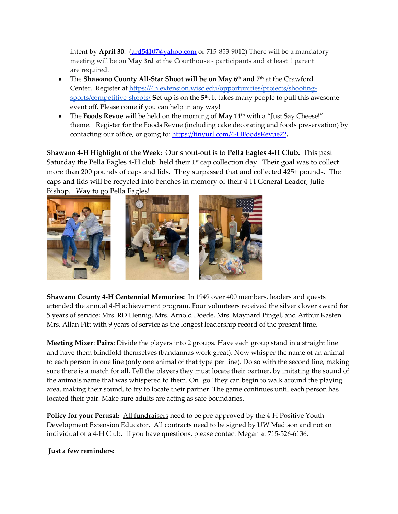intent by **April 30**. [\(ard54107@yahoo.com](mailto:ard54107@yahoo.com) or 715-853-9012) There will be a mandatory meeting will be on **May 3rd** at the Courthouse - participants and at least 1 parent are required.

- The **Shawano County All-Star Shoot will be on May 6th and 7th** at the Crawford Center. Register at [https://4h.extension.wisc.edu/opportunities/projects/shooting](https://4h.extension.wisc.edu/opportunities/projects/shooting-sports/competitive-shoots/)[sports/competitive-shoots/](https://4h.extension.wisc.edu/opportunities/projects/shooting-sports/competitive-shoots/) **Set up** is on the **5 th**. It takes many people to pull this awesome event off. Please come if you can help in any way!
- The **Foods Revue** will be held on the morning of **May 14th** with a "Just Say Cheese!" theme. Register for the Foods Revue (including cake decorating and foods preservation) by contacting our office, or going to[: https://tinyurl.com/4-HFoodsRevue22](https://tinyurl.com/4-HFoodsRevue22)**.**

**Shawano 4-H Highlight of the Week:** Our shout-out is to **Pella Eagles 4-H Club.** This past Saturday the Pella Eagles 4-H club held their 1<sup>st</sup> cap collection day. Their goal was to collect more than 200 pounds of caps and lids. They surpassed that and collected 425+ pounds. The caps and lids will be recycled into benches in memory of their 4-H General Leader, Julie Bishop. Way to go Pella Eagles!



**Shawano County 4-H Centennial Memories:** In 1949 over 400 members, leaders and guests attended the annual 4-H achievement program. Four volunteers received the silver clover award for 5 years of service; Mrs. RD Hennig, Mrs. Arnold Doede, Mrs. Maynard Pingel, and Arthur Kasten. Mrs. Allan Pitt with 9 years of service as the longest leadership record of the present time.

**Meeting Mixer**: **Pairs**: Divide the players into 2 groups. Have each group stand in a straight line and have them blindfold themselves (bandannas work great). Now whisper the name of an animal to each person in one line (only one animal of that type per line). Do so with the second line, making sure there is a match for all. Tell the players they must locate their partner, by imitating the sound of the animals name that was whispered to them. On "go" they can begin to walk around the playing area, making their sound, to try to locate their partner. The game continues until each person has located their pair. Make sure adults are acting as safe boundaries.

**Policy for your Perusal:** All fundraisers need to be pre-approved by the 4-H Positive Youth Development Extension Educator. All contracts need to be signed by UW Madison and not an individual of a 4-H Club. If you have questions, please contact Megan at 715-526-6136.

**Just a few reminders:**